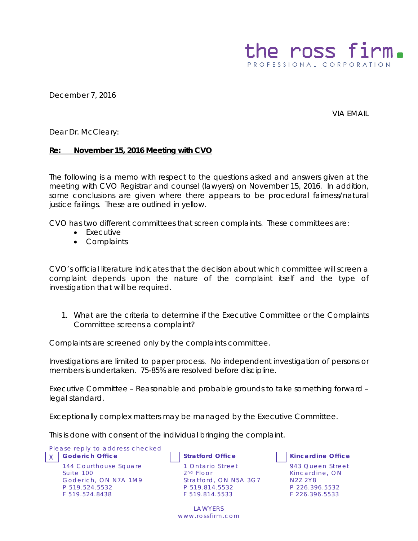

December 7, 2016

VIA EMAIL

Dear Dr. McCleary:

## **Re: November 15, 2016 Meeting with CVO**

The following is a memo with respect to the questions asked and answers given at the meeting with CVO Registrar and counsel (lawyers) on November 15, 2016. In addition, some conclusions are given where there appears to be procedural fairness/natural justice failings. These are outlined in yellow.

CVO has two different committees that screen complaints. These committees are:

- Executive
- Complaints

CVO's official literature indicates that the decision about which committee will screen a complaint depends upon the nature of the complaint itself and the type of investigation that will be required.

1. What are the criteria to determine if the Executive Committee or the Complaints Committee screens a complaint?

Complaints are screened only by the complaints committee.

Investigations are limited to paper process. No independent investigation of persons or members is undertaken. 75-85% are resolved before discipline.

Executive Committee – Reasonable and probable grounds to take something forward – legal standard.

Exceptionally complex matters may be managed by the Executive Committee.

This is done with consent of the individual bringing the complaint.

Please reply to address checked X **Goderich Office Stratford Office Kincardine Office** 144 Courthouse Square Suite 100 Goderich, ON N7A 1M9 P 519.524.5532 F 519.524.8438

1 Ontario Street 2<sup>nd</sup> Floor Stratford, ON N5A 3G7 P 519.814.5532 F 519.814.5533

LAWYERS www.rossfirm.com



943 Queen Street Kincardine, ON N2Z 2Y8 P 226.396.5532 F 226.396.5533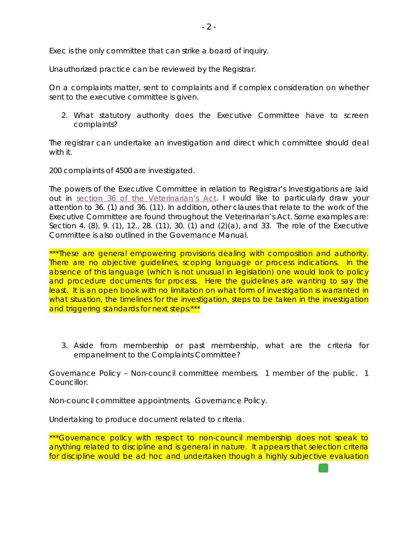Exec is the only committee that can strike a board of inquiry.

Unauthorized practice can be reviewed by the Registrar.

On a complaints matter, sent to complaints and if complex consideration on whether sent to the executive committee is given.

2. What statutory authority does the Executive Committee have to screen complaints?

The registrar can undertake an investigation and direct which committee should deal with it.

200 complaints of 4500 are investigated.

The powers of the Executive Committee in relation to Registrar's Investigations are laid out in [section 36 of the Veterinarian's Act.](https://www.ontario.ca/laws/statute/90v03) I would like to particularly draw your attention to 36. (1) and 36. (11). In addition, other clauses that relate to the work of the Executive Committee are found throughout the Veterinarian's Act. Some examples are: Section 4. (8), 9. (1), 12., 28. (11), 30. (1) and (2)(a), and 33. The role of the Executive Committee is also outlined in the Governance Manual.

\*\*\*These are general empowering provisions dealing with composition and authority. There are no objective guidelines, scoping language or process indications. In the absence of this language (which is not unusual in legislation) one would look to policy and procedure documents for process. Here the guidelines are wanting to say the least. It is an open book with no limitation on what form of investigation is warranted in what situation, the timelines for the investigation, steps to be taken in the investigation and triggering standards for next steps.\*\*\*

3. Aside from membership or past membership, what are the criteria for empanelment to the Complaints Committee?

Governance Policy – Non-council committee members. 1 member of the public. 1 Councillor.

Non-council committee appointments. Governance Policy.

Undertaking to produce document related to criteria.

\*\*\*Governance policy with respect to non-council membership does not speak to anything related to discipline and is general in nature. It appears that selection criteria for discipline would be ad hoc and undertaken though a highly subjective evaluation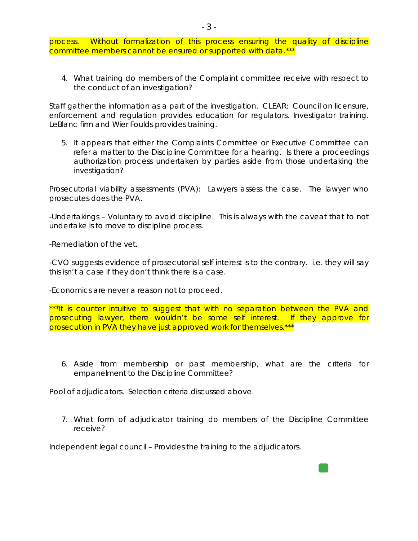process. Without formalization of this process ensuring the quality of discipline committee members cannot be ensured or supported with data.\*\*

4. What training do members of the Complaint committee receive with respect to the conduct of an investigation?

Staff gather the information as a part of the investigation. CLEAR: Council on licensure, enforcement and regulation provides education for regulators. Investigator training. LeBlanc firm and Wier Foulds provides training.

5. It appears that either the Complaints Committee or Executive Committee can refer a matter to the Discipline Committee for a hearing. Is there a proceedings authorization process undertaken by parties aside from those undertaking the investigation?

Prosecutorial viability assessments (PVA): Lawyers assess the case. The lawyer who prosecutes does the PVA.

-Undertakings – Voluntary to avoid discipline. This is always with the caveat that to not undertake is to move to discipline process.

-Remediation of the vet.

-CVO suggests evidence of prosecutorial self interest is to the contrary. i.e. they will say this isn't a case if they don't think there is a case.

-Economics are never a reason not to proceed.

\*\*\*It is counter intuitive to suggest that with no separation between the PVA and prosecuting lawyer, there wouldn't be some self interest. If they approve for prosecution in PVA they have just approved work for themselves.\*\*\*

6. Aside from membership or past membership, what are the criteria for empanelment to the Discipline Committee?

Pool of adjudicators. Selection criteria discussed above.

7. What form of adjudicator training do members of the Discipline Committee receive?

Independent legal council – Provides the training to the adjudicators.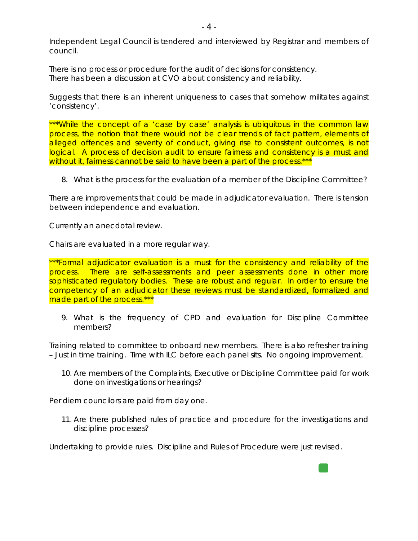Independent Legal Council is tendered and interviewed by Registrar and members of council.

There is no process or procedure for the audit of decisions for consistency. There has been a discussion at CVO about consistency and reliability.

Suggests that there is an inherent uniqueness to cases that somehow militates against 'consistency'.

\*\*\*While the concept of a 'case by case' analysis is ubiquitous in the common law process, the notion that there would not be clear trends of fact pattern, elements of alleged offences and severity of conduct, giving rise to consistent outcomes, is not logical. A process of decision audit to ensure fairness and consistency is a must and without it, fairness cannot be said to have been a part of the process.\*\*\*

8. What is the process for the evaluation of a member of the Discipline Committee?

There are improvements that could be made in adjudicator evaluation. There is tension between independence and evaluation.

Currently an anecdotal review.

Chairs are evaluated in a more regular way.

\*\*\*Formal adjudicator evaluation is a must for the consistency and reliability of the process. There are self-assessments and peer assessments done in other more sophisticated regulatory bodies. These are robust and regular. In order to ensure the competency of an adjudicator these reviews must be standardized, formalized and made part of the process.\*\*\*

9. What is the frequency of CPD and evaluation for Discipline Committee members?

Training related to committee to onboard new members. There is also refresher training – Just in time training. Time with ILC before each panel sits. No ongoing improvement.

10. Are members of the Complaints, Executive or Discipline Committee paid for work done on investigations or hearings?

Per diem councilors are paid from day one.

11. Are there published rules of practice and procedure for the investigations and discipline processes?

Undertaking to provide rules. Discipline and Rules of Procedure were just revised.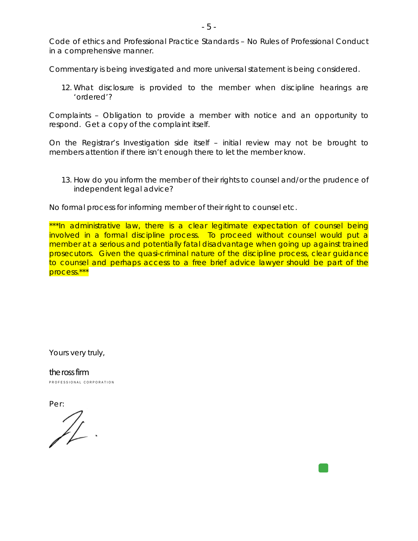Code of ethics and Professional Practice Standards – No Rules of Professional Conduct in a comprehensive manner.

Commentary is being investigated and more universal statement is being considered.

12. What disclosure is provided to the member when discipline hearings are 'ordered'?

Complaints – Obligation to provide a member with notice and an opportunity to respond. Get a copy of the complaint itself.

On the Registrar's Investigation side itself – initial review may not be brought to members attention if there isn't enough there to let the member know.

13. How do you inform the member of their rights to counsel and/or the prudence of independent legal advice?

No formal process for informing member of their right to counsel etc.

\*\*\*In administrative law, there is a clear legitimate expectation of counsel being involved in a formal discipline process. To proceed without counsel would put a member at a serious and potentially fatal disadvantage when going up against trained prosecutors. Given the quasi-criminal nature of the discipline process, clear guidance to counsel and perhaps access to a free brief advice lawyer should be part of the process.\*\*\*

Yours very truly,

the ross firm PROFESSIONAL CORPORATION

Per: